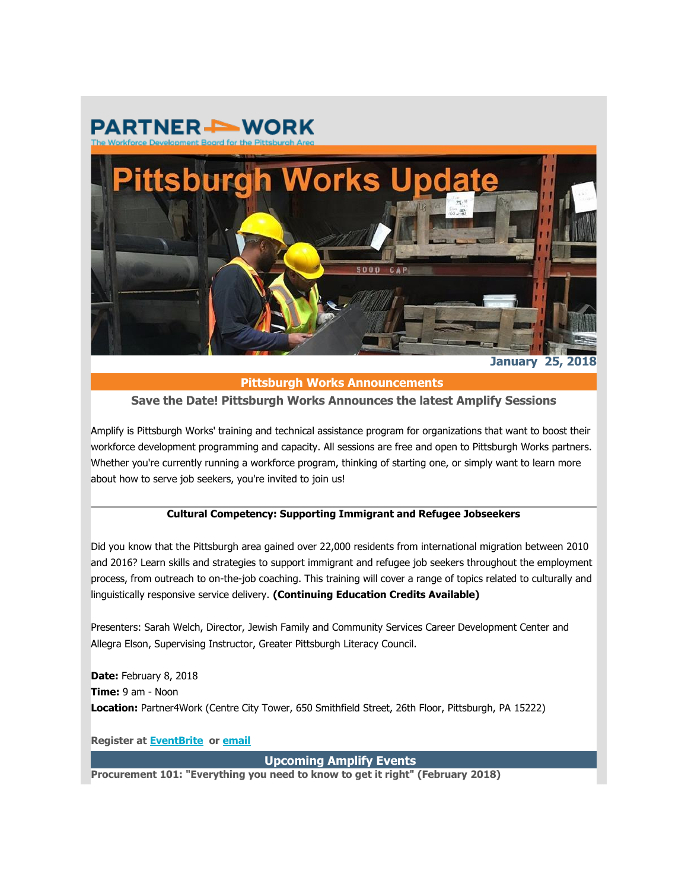



**January 25, 2018**

# **Pittsburgh Works Announcements**

# **Save the Date! Pittsburgh Works Announces the latest Amplify Sessions**

Amplify is Pittsburgh Works' training and technical assistance program for organizations that want to boost their workforce development programming and capacity. All sessions are free and open to Pittsburgh Works partners. Whether you're currently running a workforce program, thinking of starting one, or simply want to learn more about how to serve job seekers, you're invited to join us!

#### **Cultural Competency: Supporting Immigrant and Refugee Jobseekers**

Did you know that the Pittsburgh area gained over 22,000 residents from international migration between 2010 and 2016? Learn skills and strategies to support immigrant and refugee job seekers throughout the employment process, from outreach to on-the-job coaching. This training will cover a range of topics related to culturally and linguistically responsive service delivery. **(Continuing Education Credits Available)**

Presenters: Sarah Welch, Director, Jewish Family and Community Services Career Development Center and Allegra Elson, Supervising Instructor, Greater Pittsburgh Literacy Council.

**Date:** February 8, 2018 **Time:** 9 am - Noon **Location:** Partner4Work (Centre City Tower, 650 Smithfield Street, 26th Floor, Pittsburgh, PA 15222)

**Register at [EventBrite](http://partner4work.cmail19.com/t/r-l-jrhjuitk-kjkidtjldd-y/) or [email](mailto:sdash@partner4work.org)**

**Upcoming Amplify Events** 

**Procurement 101: "Everything you need to know to get it right" (February 2018)**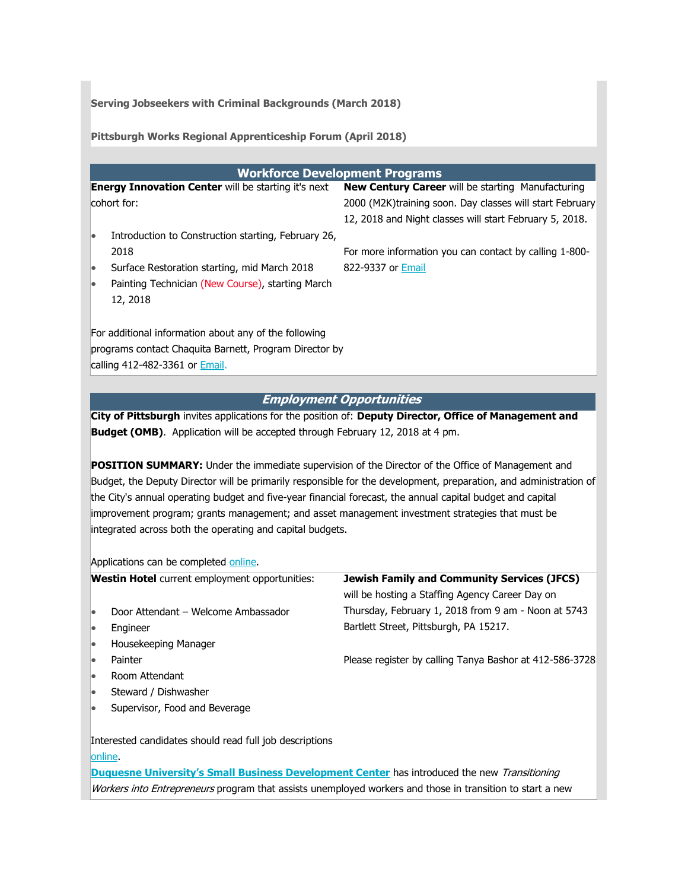**Serving Jobseekers with Criminal Backgrounds (March 2018)**

**Pittsburgh Works Regional Apprenticeship Forum (April 2018)**

| <b>Workforce Development Programs</b>                                                                             |                                                                                                        |  |  |
|-------------------------------------------------------------------------------------------------------------------|--------------------------------------------------------------------------------------------------------|--|--|
| <b>Energy Innovation Center will be starting it's next</b>                                                        | New Century Career will be starting Manufacturing                                                      |  |  |
| cohort for:                                                                                                       | 2000 (M2K)training soon. Day classes will start February                                               |  |  |
|                                                                                                                   | 12, 2018 and Night classes will start February 5, 2018.                                                |  |  |
| Introduction to Construction starting, February 26,<br>$\bullet$                                                  |                                                                                                        |  |  |
| 2018                                                                                                              | For more information you can contact by calling 1-800-                                                 |  |  |
| Surface Restoration starting, mid March 2018<br>$\bullet$                                                         | 822-9337 or Email                                                                                      |  |  |
| Painting Technician (New Course), starting March<br>$\bullet$                                                     |                                                                                                        |  |  |
| 12, 2018                                                                                                          |                                                                                                        |  |  |
|                                                                                                                   |                                                                                                        |  |  |
| For additional information about any of the following                                                             |                                                                                                        |  |  |
|                                                                                                                   |                                                                                                        |  |  |
| programs contact Chaquita Barnett, Program Director by                                                            |                                                                                                        |  |  |
| calling 412-482-3361 or <b>Email</b> .                                                                            |                                                                                                        |  |  |
|                                                                                                                   |                                                                                                        |  |  |
|                                                                                                                   | <b>Employment Opportunities</b>                                                                        |  |  |
|                                                                                                                   | City of Pittsburgh invites applications for the position of: Deputy Director, Office of Management and |  |  |
| Budget (OMB). Application will be accepted through February 12, 2018 at 4 pm.                                     |                                                                                                        |  |  |
|                                                                                                                   |                                                                                                        |  |  |
| POSITION SUMMARY: Under the immediate supervision of the Director of the Office of Management and                 |                                                                                                        |  |  |
| Budget, the Deputy Director will be primarily responsible for the development, preparation, and administration of |                                                                                                        |  |  |
| the City's annual operating budget and five-year financial forecast, the annual capital budget and capital        |                                                                                                        |  |  |
| improvement program; grants management; and asset management investment strategies that must be                   |                                                                                                        |  |  |
| integrated across both the operating and capital budgets.                                                         |                                                                                                        |  |  |
|                                                                                                                   |                                                                                                        |  |  |
|                                                                                                                   |                                                                                                        |  |  |
| Applications can be completed online.                                                                             |                                                                                                        |  |  |
| Westin Hotel current employment opportunities:                                                                    | <b>Jewish Family and Community Services (JFCS)</b>                                                     |  |  |
|                                                                                                                   | will be hosting a Staffing Agency Career Day on                                                        |  |  |
| Door Attendant - Welcome Ambassador<br>$\bullet$                                                                  | Thursday, February 1, 2018 from 9 am - Noon at 5743                                                    |  |  |
| Engineer<br>$\bullet$                                                                                             | Bartlett Street, Pittsburgh, PA 15217.                                                                 |  |  |
| Housekeeping Manager                                                                                              |                                                                                                        |  |  |

- **Painter**
- Room Attendant
- Steward / Dishwasher
- Supervisor, Food and Beverage

Interested candidates should read full job descriptions

# [online.](http://partner4work.cmail19.com/t/r-l-jrhjuitk-kjkidtjldd-t/)

**[Duquesne University's Small Business Development Center](http://partner4work.cmail19.com/t/r-l-jrhjuitk-kjkidtjldd-i/)** has introduced the new Transitioning Workers into Entrepreneurs program that assists unemployed workers and those in transition to start a new

Please register by calling Tanya Bashor at 412-586-3728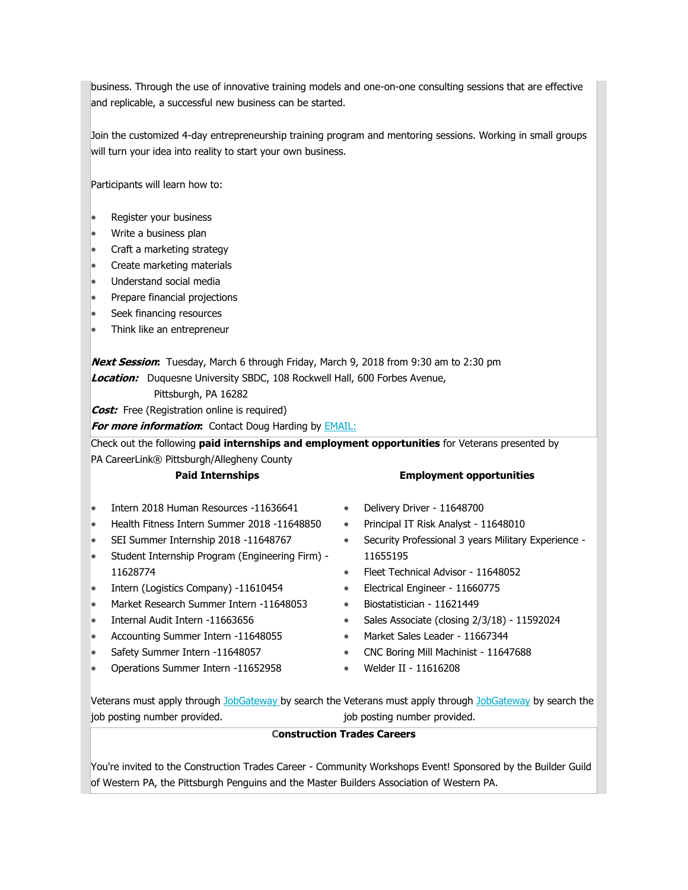business. Through the use of innovative training models and one-on-one consulting sessions that are effective and replicable, a successful new business can be started.

Join the customized 4-day entrepreneurship training program and mentoring sessions. Working in small groups will turn your idea into reality to start your own business.

Participants will learn how to:

- Register your business
- Write a business plan
- Craft a marketing strategy
- Create marketing materials
- Understand social media
- Prepare financial projections
- Seek financing resources
- Think like an entrepreneur

**Next Session:** Tuesday, March 6 through Friday, March 9, 2018 from 9:30 am to 2:30 pm **Location:** Duquesne University SBDC, 108 Rockwell Hall, 600 Forbes Avenue,

Pittsburgh, PA 16282

**Cost:** Free (Registration online is required)

**For more information:** Contact Doug Harding by [EMAIL:](mailto:hardingd@duq.edu)

Check out the following **paid internships and employment opportunities** for Veterans presented by PA CareerLink® Pittsburgh/Allegheny County

#### **Paid Internships**

- Intern 2018 Human Resources -11636641
- Health Fitness Intern Summer 2018 -11648850
- SEI Summer Internship 2018 -11648767
- Student Internship Program (Engineering Firm) 11628774
- Intern (Logistics Company) -11610454
- Market Research Summer Intern -11648053
- Internal Audit Intern -11663656
- Accounting Summer Intern -11648055
- Safety Summer Intern -11648057
- Operations Summer Intern -11652958

#### **Employment opportunities**

- Delivery Driver 11648700
- Principal IT Risk Analyst 11648010
- Security Professional 3 years Military Experience 11655195
- Fleet Technical Advisor 11648052
- Electrical Engineer 11660775
- Biostatistician 11621449
- Sales Associate (closing 2/3/18) 11592024
- Market Sales Leader 11667344
- CNC Boring Mill Machinist 11647688
- Welder II 11616208

Veterans must apply through [JobGateway](http://partner4work.cmail19.com/t/r-l-jrhjuitk-kjkidtjldd-d/) [b](http://partner4work.cmail19.com/t/r-l-jrhjuitk-kjkidtjldd-h/)y search the Veterans must apply through [JobGate](http://partner4work.cmail19.com/t/r-l-jrhjuitk-kjkidtjldd-k/)[way](http://partner4work.cmail19.com/t/r-l-jrhjuitk-kjkidtjldd-u/) by search the job posting number provided. job posting number provided.

#### **Construction Trades Careers**

You're invited to the Construction Trades Career - Community Workshops Event! Sponsored by the Builder Guild of Western PA, the Pittsburgh Penguins and the Master Builders Association of Western PA.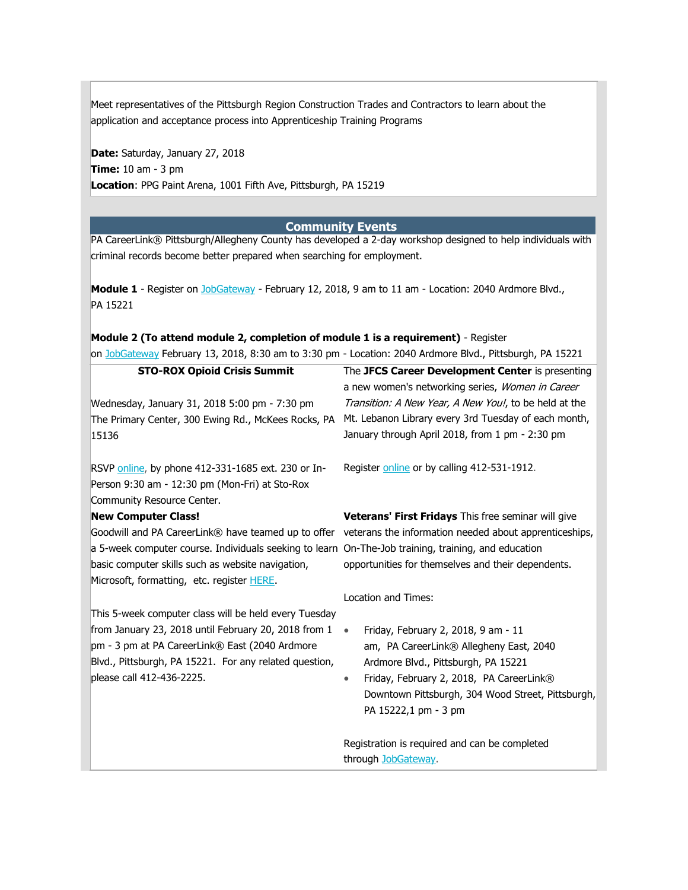Meet representatives of the Pittsburgh Region Construction Trades and Contractors to learn about the application and acceptance process into Apprenticeship Training Programs

**Date:** Saturday, January 27, 2018 **Time:** 10 am - 3 pm **Location**: PPG Paint Arena, 1001 Fifth Ave, Pittsburgh, PA 15219

#### **Community Events**

PA CareerLink® Pittsburgh/Allegheny County has developed a 2-day workshop designed to help individuals with criminal records become better prepared when searching for employment.

**Module 1** - Register on [JobGateway](https://www.jobgateway.pa.gov/jponline/JobSeeker/Registration/LoginOrRegister.aspx?tKqNSU0JOYpJCcz5ubjp6OSaIFcjw@5C7UZBd0GbZaM-BsEO5vHBiLP0tJpKp21QLxShlra1hCgVUzMScR0yYSvztSOtOh5Q) - February 12, 2018, 9 am to 11 am - Location: 2040 Ardmore Blvd., PA 15221

# **Module 2 (To attend module 2, completion of module 1 is a requirement)** - Register

on [JobGateway](http://partner4work.cmail19.com/t/r-l-jrhjuitk-kjkidtjldd-o/) February 13, 2018, 8:30 am to 3:30 pm - Location: 2040 Ardmore Blvd., Pittsburgh, PA 15221

| <b>STO-ROX Opioid Crisis Summit</b>                                                                 | The JFCS Career Development Center is presenting                                                           |  |
|-----------------------------------------------------------------------------------------------------|------------------------------------------------------------------------------------------------------------|--|
|                                                                                                     | a new women's networking series, Women in Career                                                           |  |
| Wednesday, January 31, 2018 5:00 pm - 7:30 pm                                                       | Transition: A New Year, A New You!, to be held at the                                                      |  |
| The Primary Center, 300 Ewing Rd., McKees Rocks, PA                                                 | Mt. Lebanon Library every 3rd Tuesday of each month,                                                       |  |
| 15136                                                                                               | January through April 2018, from 1 pm - 2:30 pm                                                            |  |
|                                                                                                     |                                                                                                            |  |
| RSVP online, by phone 412-331-1685 ext. 230 or In-                                                  | Register online or by calling 412-531-1912.                                                                |  |
| Person 9:30 am - 12:30 pm (Mon-Fri) at Sto-Rox                                                      |                                                                                                            |  |
| Community Resource Center.                                                                          |                                                                                                            |  |
| <b>New Computer Class!</b>                                                                          | Veterans' First Fridays This free seminar will give                                                        |  |
|                                                                                                     | Goodwill and PA CareerLink® have teamed up to offer veterans the information needed about apprenticeships, |  |
| a 5-week computer course. Individuals seeking to learn On-The-Job training, training, and education |                                                                                                            |  |
| basic computer skills such as website navigation,                                                   | opportunities for themselves and their dependents.                                                         |  |
| Microsoft, formatting, etc. register <b>HERE</b> .                                                  |                                                                                                            |  |
|                                                                                                     | Location and Times:                                                                                        |  |
| This 5-week computer class will be held every Tuesday                                               |                                                                                                            |  |
| from January 23, 2018 until February 20, 2018 from 1                                                | Friday, February 2, 2018, 9 am - 11                                                                        |  |
| pm - 3 pm at PA CareerLink® East (2040 Ardmore                                                      | am, PA CareerLink® Allegheny East, 2040                                                                    |  |
| Blvd., Pittsburgh, PA 15221. For any related question,                                              | Ardmore Blvd., Pittsburgh, PA 15221                                                                        |  |
| please call 412-436-2225.                                                                           | Friday, February 2, 2018, PA CareerLink®<br>٠                                                              |  |
|                                                                                                     | Downtown Pittsburgh, 304 Wood Street, Pittsburgh,                                                          |  |
|                                                                                                     | PA 15222,1 pm - 3 pm                                                                                       |  |
|                                                                                                     |                                                                                                            |  |
|                                                                                                     | Registration is required and can be completed                                                              |  |
|                                                                                                     | through JobGateway.                                                                                        |  |